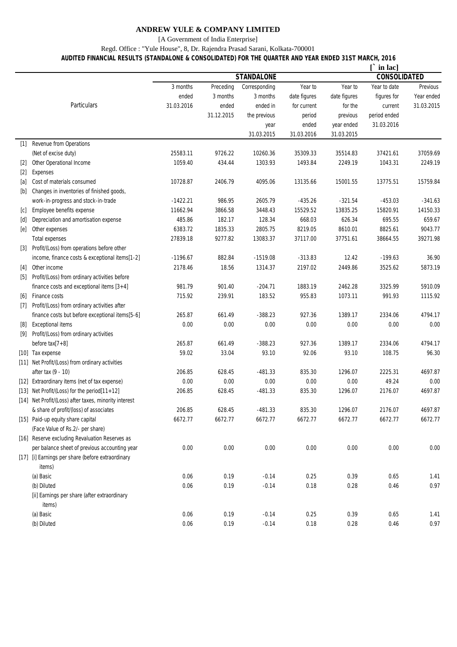### **ANDREW YULE & COMPANY LIMITED**

[A Government of India Enterprise]

#### Regd. Office : "Yule House", 8, Dr. Rajendra Prasad Sarani, Kolkata-700001

## **AUDITED FINANCIAL RESULTS (STANDALONE & CONSOLIDATED) FOR THE QUARTER AND YEAR ENDED 31ST MARCH, 2016**

|                    |                                                        |                   |            |               |              |              | $\lceil$ in lac]    |            |  |
|--------------------|--------------------------------------------------------|-------------------|------------|---------------|--------------|--------------|---------------------|------------|--|
|                    |                                                        | <b>STANDALONE</b> |            |               |              |              | <b>CONSOLIDATED</b> |            |  |
|                    |                                                        | 3 months          | Preceding  | Corresponding | Year to      | Year to      | Year to date        | Previous   |  |
|                    |                                                        | ended             | 3 months   | 3 months      | date figures | date figures | figures for         | Year ended |  |
|                    | Particulars                                            | 31.03.2016        | ended      | ended in      | for current  | for the      | current             | 31.03.2015 |  |
|                    |                                                        |                   | 31.12.2015 | the previous  | period       | previous     | period ended        |            |  |
|                    |                                                        |                   |            | year          | ended        | year ended   | 31.03.2016          |            |  |
|                    |                                                        |                   |            | 31.03.2015    | 31.03.2016   | 31.03.2015   |                     |            |  |
| $[1]$              | Revenue from Operations                                |                   |            |               |              |              |                     |            |  |
|                    | (Net of excise duty)                                   | 25583.11          | 9726.22    | 10260.36      | 35309.33     | 35514.83     | 37421.61            | 37059.69   |  |
| $[2]$              | Other Operational Income                               | 1059.40           | 434.44     | 1303.93       | 1493.84      | 2249.19      | 1043.31             | 2249.19    |  |
| $[2]$              | Expenses                                               |                   |            |               |              |              |                     |            |  |
| [a]                | Cost of materials consumed                             | 10728.87          | 2406.79    | 4095.06       | 13135.66     | 15001.55     | 13775.51            | 15759.84   |  |
| [b]                | Changes in inventories of finished goods,              |                   |            |               |              |              |                     |            |  |
|                    | work-in-progress and stock-in-trade                    | $-1422.21$        | 986.95     | 2605.79       | $-435.26$    | $-321.54$    | $-453.03$           | $-341.63$  |  |
| [c]                | Employee benefits expense                              | 11662.94          | 3866.58    | 3448.43       | 15529.52     | 13835.25     | 15820.91            | 14150.33   |  |
| $[d]$              | Depreciation and amortisation expense                  | 485.86            | 182.17     | 128.34        | 668.03       | 626.34       | 695.55              | 659.67     |  |
| [e]                | Other expenses                                         | 6383.72           | 1835.33    | 2805.75       | 8219.05      | 8610.01      | 8825.61             | 9043.77    |  |
|                    | <b>Total expenses</b>                                  | 27839.18          | 9277.82    | 13083.37      | 37117.00     | 37751.61     | 38664.55            | 39271.98   |  |
| $[3]$              | Profit/(Loss) from operations before other             |                   |            |               |              |              |                     |            |  |
|                    | income, finance costs & exceptional items[1-2]         | $-1196.67$        | 882.84     | $-1519.08$    | $-313.83$    | 12.42        | $-199.63$           | 36.90      |  |
| $[4]$              | Other income                                           | 2178.46           | 18.56      | 1314.37       | 2197.02      | 2449.86      | 3525.62             | 5873.19    |  |
| $[5]$              | Profit/(Loss) from ordinary activities before          |                   |            |               |              |              |                     |            |  |
|                    | finance costs and exceptional items $[3+4]$            | 981.79            | 901.40     | $-204.71$     | 1883.19      | 2462.28      | 3325.99             | 5910.09    |  |
| [6]                | Finance costs                                          | 715.92            | 239.91     | 183.52        | 955.83       | 1073.11      | 991.93              | 1115.92    |  |
| $[7]$              | Profit/(Loss) from ordinary activities after           |                   |            |               |              |              |                     |            |  |
|                    | finance costs but before exceptional items[5-6]        | 265.87            | 661.49     | $-388.23$     | 927.36       | 1389.17      | 2334.06             | 4794.17    |  |
| [8]                | <b>Exceptional items</b>                               | 0.00              | 0.00       | 0.00          | 0.00         | 0.00         | 0.00                | 0.00       |  |
| $[9]$              | Profit/(Loss) from ordinary activities                 |                   |            |               |              |              |                     |            |  |
|                    | before $\text{tax}[7+8]$                               | 265.87            | 661.49     | $-388.23$     | 927.36       | 1389.17      | 2334.06             | 4794.17    |  |
|                    | [10] Tax expense                                       | 59.02             | 33.04      | 93.10         | 92.06        | 93.10        | 108.75              | 96.30      |  |
|                    | [11] Net Profit/(Loss) from ordinary activities        |                   |            |               |              |              |                     |            |  |
|                    | after tax (9 - 10)                                     | 206.85            | 628.45     | $-481.33$     | 835.30       | 1296.07      | 2225.31             | 4697.87    |  |
| $\lceil 12 \rceil$ | Extraordinary items (net of tax expense)               | 0.00              | 0.00       | 0.00          | 0.00         | 0.00         | 49.24               | 0.00       |  |
| $[13]$             | Net Profit/(Loss) for the period[11+12]                | 206.85            | 628.45     | $-481.33$     | 835.30       | 1296.07      | 2176.07             | 4697.87    |  |
|                    | [14] Net Profit/(Loss) after taxes, minority interest  |                   |            |               |              |              |                     |            |  |
|                    | & share of profit/(loss) of associates                 | 206.85            | 628.45     | $-481.33$     | 835.30       | 1296.07      | 2176.07             | 4697.87    |  |
|                    | [15] Paid-up equity share capital                      | 6672.77           | 6672.77    | 6672.77       | 6672.77      | 6672.77      | 6672.77             | 6672.77    |  |
|                    | (Face Value of Rs.2/- per share)                       |                   |            |               |              |              |                     |            |  |
|                    | [16] Reserve excluding Revaluation Reserves as         |                   |            |               |              |              |                     |            |  |
|                    | per balance sheet of previous accounting year          | 0.00              | 0.00       | 0.00          | 0.00         | 0.00         | 0.00                | 0.00       |  |
|                    | [17] [i] Earnings per share (before extraordinary      |                   |            |               |              |              |                     |            |  |
|                    | items)                                                 |                   |            |               |              |              |                     |            |  |
|                    | (a) Basic                                              | 0.06              | 0.19       | $-0.14$       | 0.25         | 0.39         | 0.65                | 1.41       |  |
|                    | (b) Diluted                                            | 0.06              | 0.19       | $-0.14$       | 0.18         | 0.28         | 0.46                | 0.97       |  |
|                    | [ii] Earnings per share (after extraordinary<br>items) |                   |            |               |              |              |                     |            |  |
|                    | (a) Basic                                              | 0.06              | 0.19       | $-0.14$       | 0.25         | 0.39         | 0.65                | 1.41       |  |
|                    | (b) Diluted                                            | $0.06\,$          | 0.19       | $-0.14$       | 0.18         | 0.28         | 0.46                | 0.97       |  |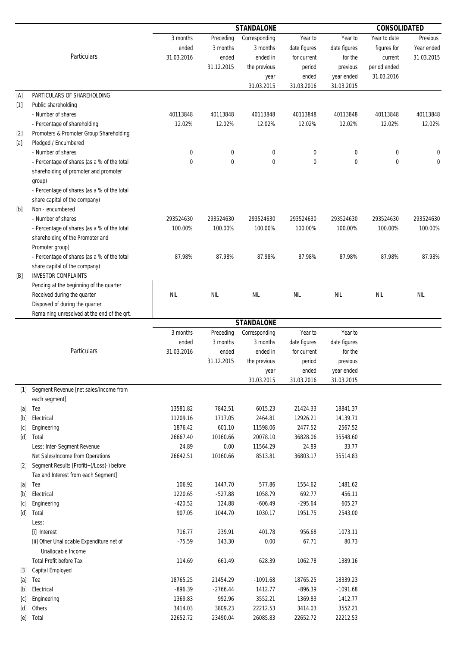|                                                                                                                                                                                                                                                                                                                                                                                                                                                                                                                                                                                                                |                                                                 | <b>STANDALONE</b> |            |                   |              |              | <b>CONSOLIDATED</b> |            |  |
|----------------------------------------------------------------------------------------------------------------------------------------------------------------------------------------------------------------------------------------------------------------------------------------------------------------------------------------------------------------------------------------------------------------------------------------------------------------------------------------------------------------------------------------------------------------------------------------------------------------|-----------------------------------------------------------------|-------------------|------------|-------------------|--------------|--------------|---------------------|------------|--|
|                                                                                                                                                                                                                                                                                                                                                                                                                                                                                                                                                                                                                |                                                                 | 3 months          | Preceding  | Corresponding     | Year to      | Year to      | Year to date        | Previous   |  |
|                                                                                                                                                                                                                                                                                                                                                                                                                                                                                                                                                                                                                |                                                                 | ended             | 3 months   | 3 months          | date figures | date figures | figures for         | Year ended |  |
|                                                                                                                                                                                                                                                                                                                                                                                                                                                                                                                                                                                                                | Particulars                                                     | 31.03.2016        | ended      | ended in          | for current  | for the      | current             | 31.03.2015 |  |
|                                                                                                                                                                                                                                                                                                                                                                                                                                                                                                                                                                                                                |                                                                 |                   | 31.12.2015 | the previous      | period       | previous     | period ended        |            |  |
|                                                                                                                                                                                                                                                                                                                                                                                                                                                                                                                                                                                                                |                                                                 |                   |            | year              | ended        | year ended   | 31.03.2016          |            |  |
|                                                                                                                                                                                                                                                                                                                                                                                                                                                                                                                                                                                                                |                                                                 |                   |            | 31.03.2015        | 31.03.2016   | 31.03.2015   |                     |            |  |
| [A]                                                                                                                                                                                                                                                                                                                                                                                                                                                                                                                                                                                                            | PARTICULARS OF SHAREHOLDING                                     |                   |            |                   |              |              |                     |            |  |
| $[1]$                                                                                                                                                                                                                                                                                                                                                                                                                                                                                                                                                                                                          | Public shareholding                                             |                   |            |                   |              |              |                     |            |  |
|                                                                                                                                                                                                                                                                                                                                                                                                                                                                                                                                                                                                                | - Number of shares                                              | 40113848          | 40113848   | 40113848          | 40113848     | 40113848     | 40113848            | 40113848   |  |
|                                                                                                                                                                                                                                                                                                                                                                                                                                                                                                                                                                                                                | - Percentage of shareholding                                    | 12.02%            | 12.02%     | 12.02%            | 12.02%       | 12.02%       | 12.02%              | 12.02%     |  |
| $[2]$                                                                                                                                                                                                                                                                                                                                                                                                                                                                                                                                                                                                          | Promoters & Promoter Group Shareholding                         |                   |            |                   |              |              |                     |            |  |
| $[a]$                                                                                                                                                                                                                                                                                                                                                                                                                                                                                                                                                                                                          | Pledged / Encumbered                                            |                   |            |                   |              |              |                     |            |  |
|                                                                                                                                                                                                                                                                                                                                                                                                                                                                                                                                                                                                                | - Number of shares                                              | 0                 | 0          | 0                 | 0            | 0            | 0                   |            |  |
|                                                                                                                                                                                                                                                                                                                                                                                                                                                                                                                                                                                                                | - Percentage of shares (as a % of the total                     | 0                 | 0          | $\mathbf 0$       | $\mathbf 0$  | 0            | $\mathbf 0$         | 0          |  |
|                                                                                                                                                                                                                                                                                                                                                                                                                                                                                                                                                                                                                | shareholding of promoter and promoter                           |                   |            |                   |              |              |                     |            |  |
|                                                                                                                                                                                                                                                                                                                                                                                                                                                                                                                                                                                                                | group)                                                          |                   |            |                   |              |              |                     |            |  |
|                                                                                                                                                                                                                                                                                                                                                                                                                                                                                                                                                                                                                | - Percentage of shares (as a % of the total                     |                   |            |                   |              |              |                     |            |  |
|                                                                                                                                                                                                                                                                                                                                                                                                                                                                                                                                                                                                                | share capital of the company)                                   |                   |            |                   |              |              |                     |            |  |
| $[b]$                                                                                                                                                                                                                                                                                                                                                                                                                                                                                                                                                                                                          | Non - encumbered                                                |                   |            |                   |              |              |                     |            |  |
|                                                                                                                                                                                                                                                                                                                                                                                                                                                                                                                                                                                                                | - Number of shares                                              | 293524630         | 293524630  | 293524630         | 293524630    | 293524630    | 293524630           | 293524630  |  |
|                                                                                                                                                                                                                                                                                                                                                                                                                                                                                                                                                                                                                | - Percentage of shares (as a % of the total                     | 100.00%           | 100.00%    | 100.00%           | 100.00%      | 100.00%      | 100.00%             | 100.00%    |  |
|                                                                                                                                                                                                                                                                                                                                                                                                                                                                                                                                                                                                                | shareholding of the Promoter and                                |                   |            |                   |              |              |                     |            |  |
|                                                                                                                                                                                                                                                                                                                                                                                                                                                                                                                                                                                                                | Promoter group)                                                 |                   |            |                   |              |              |                     |            |  |
|                                                                                                                                                                                                                                                                                                                                                                                                                                                                                                                                                                                                                | - Percentage of shares (as a % of the total                     | 87.98%            | 87.98%     | 87.98%            | 87.98%       | 87.98%       | 87.98%              | 87.98%     |  |
|                                                                                                                                                                                                                                                                                                                                                                                                                                                                                                                                                                                                                | share capital of the company)                                   |                   |            |                   |              |              |                     |            |  |
| [B]                                                                                                                                                                                                                                                                                                                                                                                                                                                                                                                                                                                                            | <b>INVESTOR COMPLAINTS</b>                                      |                   |            |                   |              |              |                     |            |  |
|                                                                                                                                                                                                                                                                                                                                                                                                                                                                                                                                                                                                                | Pending at the beginning of the quarter                         |                   |            |                   |              |              |                     |            |  |
|                                                                                                                                                                                                                                                                                                                                                                                                                                                                                                                                                                                                                | Received during the quarter                                     | <b>NIL</b>        | <b>NIL</b> | <b>NIL</b>        | <b>NIL</b>   | <b>NIL</b>   | NIL                 | <b>NIL</b> |  |
|                                                                                                                                                                                                                                                                                                                                                                                                                                                                                                                                                                                                                | Disposed of during the quarter                                  |                   |            |                   |              |              |                     |            |  |
|                                                                                                                                                                                                                                                                                                                                                                                                                                                                                                                                                                                                                | Remaining unresolved at the end of the qrt.                     |                   |            |                   |              |              |                     |            |  |
|                                                                                                                                                                                                                                                                                                                                                                                                                                                                                                                                                                                                                |                                                                 |                   |            | <b>STANDALONE</b> |              |              |                     |            |  |
|                                                                                                                                                                                                                                                                                                                                                                                                                                                                                                                                                                                                                |                                                                 | 3 months          | Preceding  | Corresponding     | Year to      | Year to      |                     |            |  |
|                                                                                                                                                                                                                                                                                                                                                                                                                                                                                                                                                                                                                |                                                                 | ended             | 3 months   | 3 months          | date figures | date figures |                     |            |  |
|                                                                                                                                                                                                                                                                                                                                                                                                                                                                                                                                                                                                                | Particulars                                                     | 31.03.2016        | ended      | ended in          | for current  | for the      |                     |            |  |
|                                                                                                                                                                                                                                                                                                                                                                                                                                                                                                                                                                                                                |                                                                 |                   | 31.12.2015 | the previous      | period       | previous     |                     |            |  |
|                                                                                                                                                                                                                                                                                                                                                                                                                                                                                                                                                                                                                |                                                                 |                   |            | year              | ended        | year ended   |                     |            |  |
|                                                                                                                                                                                                                                                                                                                                                                                                                                                                                                                                                                                                                |                                                                 |                   |            | 31.03.2015        | 31.03.2016   | 31.03.2015   |                     |            |  |
|                                                                                                                                                                                                                                                                                                                                                                                                                                                                                                                                                                                                                | [1] Segment Revenue [net sales/income from                      |                   |            |                   |              |              |                     |            |  |
|                                                                                                                                                                                                                                                                                                                                                                                                                                                                                                                                                                                                                | each segment]                                                   |                   |            |                   |              |              |                     |            |  |
| [a]                                                                                                                                                                                                                                                                                                                                                                                                                                                                                                                                                                                                            | Tea                                                             | 13581.82          | 7842.51    | 6015.23           | 21424.33     | 18841.37     |                     |            |  |
|                                                                                                                                                                                                                                                                                                                                                                                                                                                                                                                                                                                                                | Electrical                                                      | 11209.16          | 1717.05    | 2464.81           | 12926.21     | 14139.71     |                     |            |  |
| [c]                                                                                                                                                                                                                                                                                                                                                                                                                                                                                                                                                                                                            | Engineering                                                     | 1876.42           | 601.10     | 11598.06          | 2477.52      | 2567.52      |                     |            |  |
| [d]                                                                                                                                                                                                                                                                                                                                                                                                                                                                                                                                                                                                            | Total                                                           | 26667.40          | 10160.66   | 20078.10          | 36828.06     | 35548.60     |                     |            |  |
|                                                                                                                                                                                                                                                                                                                                                                                                                                                                                                                                                                                                                | Less: Inter-Segment Revenue                                     | 24.89             | 0.00       | 11564.29          | 24.89        | 33.77        |                     |            |  |
|                                                                                                                                                                                                                                                                                                                                                                                                                                                                                                                                                                                                                | Net Sales/Income from Operations                                | 26642.51          | 10160.66   | 8513.81           | 36803.17     | 35514.83     |                     |            |  |
| $\lceil 2 \rceil$                                                                                                                                                                                                                                                                                                                                                                                                                                                                                                                                                                                              | Segment Results [Profit(+)/Loss(-) before                       |                   |            |                   |              |              |                     |            |  |
|                                                                                                                                                                                                                                                                                                                                                                                                                                                                                                                                                                                                                | Tax and Interest from each Segment]                             |                   |            |                   |              |              |                     |            |  |
| [a]                                                                                                                                                                                                                                                                                                                                                                                                                                                                                                                                                                                                            | Tea                                                             | 106.92            | 1447.70    | 577.86            | 1554.62      | 1481.62      |                     |            |  |
| $[b] \centering% \includegraphics[width=1\textwidth]{figs/fig_0a}% \includegraphics[width=1\textwidth]{figs/fig_0b}% \includegraphics[width=1\textwidth]{figs/fig_0b}% \includegraphics[width=1\textwidth]{figs/fig_0b}% \includegraphics[width=1\textwidth]{figs/fig_0b}% \includegraphics[width=1\textwidth]{figs/fig_0b}% \includegraphics[width=1\textwidth]{figs/fig_0b}% \includegraphics[width=1\textwidth]{figs/fig_0b}% \includegraphics[width=1\textwidth]{figs/fig_0b}% \includegraphics[width=1\textwidth]{figs/fig_0b}% \includegraphics[width=1\textwidth]{figs/fig_0b}% \includegraphics[width$ | Electrical                                                      | 1220.65           | $-527.88$  | 1058.79           | 692.77       | 456.11       |                     |            |  |
| c                                                                                                                                                                                                                                                                                                                                                                                                                                                                                                                                                                                                              | Engineering                                                     | $-420.52$         | 124.88     | $-606.49$         | $-295.64$    | 605.27       |                     |            |  |
| [d]                                                                                                                                                                                                                                                                                                                                                                                                                                                                                                                                                                                                            | Total                                                           | 907.05            | 1044.70    | 1030.17           | 1951.75      | 2543.00      |                     |            |  |
|                                                                                                                                                                                                                                                                                                                                                                                                                                                                                                                                                                                                                | Less:                                                           |                   |            |                   |              |              |                     |            |  |
|                                                                                                                                                                                                                                                                                                                                                                                                                                                                                                                                                                                                                | [i] Interest                                                    | 716.77            | 239.91     | 401.78            | 956.68       | 1073.11      |                     |            |  |
|                                                                                                                                                                                                                                                                                                                                                                                                                                                                                                                                                                                                                | [ii] Other Unallocable Expenditure net of<br>Unallocable Income | $-75.59$          | 143.30     | 0.00              | 67.71        | 80.73        |                     |            |  |
|                                                                                                                                                                                                                                                                                                                                                                                                                                                                                                                                                                                                                | <b>Total Profit before Tax</b>                                  | 114.69            | 661.49     | 628.39            | 1062.78      | 1389.16      |                     |            |  |
| $[3]$                                                                                                                                                                                                                                                                                                                                                                                                                                                                                                                                                                                                          | Capital Employed                                                |                   |            |                   |              |              |                     |            |  |
| $[a]$                                                                                                                                                                                                                                                                                                                                                                                                                                                                                                                                                                                                          | Tea                                                             | 18765.25          | 21454.29   | $-1091.68$        | 18765.25     | 18339.23     |                     |            |  |
|                                                                                                                                                                                                                                                                                                                                                                                                                                                                                                                                                                                                                | Electrical                                                      | $-896.39$         | $-2766.44$ | 1412.77           | $-896.39$    | $-1091.68$   |                     |            |  |
| [c]                                                                                                                                                                                                                                                                                                                                                                                                                                                                                                                                                                                                            | Engineering                                                     | 1369.83           | 992.96     | 3552.21           | 1369.83      | 1412.77      |                     |            |  |
| [d]                                                                                                                                                                                                                                                                                                                                                                                                                                                                                                                                                                                                            | Others                                                          | 3414.03           | 3809.23    | 22212.53          | 3414.03      | 3552.21      |                     |            |  |
| [e]                                                                                                                                                                                                                                                                                                                                                                                                                                                                                                                                                                                                            | Total                                                           | 22652.72          | 23490.04   | 26085.83          | 22652.72     | 22212.53     |                     |            |  |